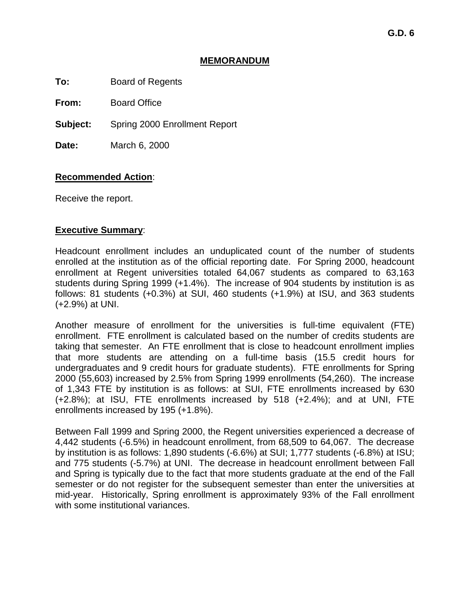#### **MEMORANDUM**

**To:** Board of Regents

**From:** Board Office

**Subject:** Spring 2000 Enrollment Report

**Date:** March 6, 2000

## **Recommended Action**:

Receive the report.

## **Executive Summary**:

Headcount enrollment includes an unduplicated count of the number of students enrolled at the institution as of the official reporting date. For Spring 2000, headcount enrollment at Regent universities totaled 64,067 students as compared to 63,163 students during Spring 1999 (+1.4%). The increase of 904 students by institution is as follows: 81 students (+0.3%) at SUI, 460 students (+1.9%) at ISU, and 363 students (+2.9%) at UNI.

Another measure of enrollment for the universities is full-time equivalent (FTE) enrollment. FTE enrollment is calculated based on the number of credits students are taking that semester. An FTE enrollment that is close to headcount enrollment implies that more students are attending on a full-time basis (15.5 credit hours for undergraduates and 9 credit hours for graduate students). FTE enrollments for Spring 2000 (55,603) increased by 2.5% from Spring 1999 enrollments (54,260). The increase of 1,343 FTE by institution is as follows: at SUI, FTE enrollments increased by 630 (+2.8%); at ISU, FTE enrollments increased by 518 (+2.4%); and at UNI, FTE enrollments increased by 195 (+1.8%).

Between Fall 1999 and Spring 2000, the Regent universities experienced a decrease of 4,442 students (-6.5%) in headcount enrollment, from 68,509 to 64,067. The decrease by institution is as follows: 1,890 students (-6.6%) at SUI; 1,777 students (-6.8%) at ISU; and 775 students (-5.7%) at UNI. The decrease in headcount enrollment between Fall and Spring is typically due to the fact that more students graduate at the end of the Fall semester or do not register for the subsequent semester than enter the universities at mid-year. Historically, Spring enrollment is approximately 93% of the Fall enrollment with some institutional variances.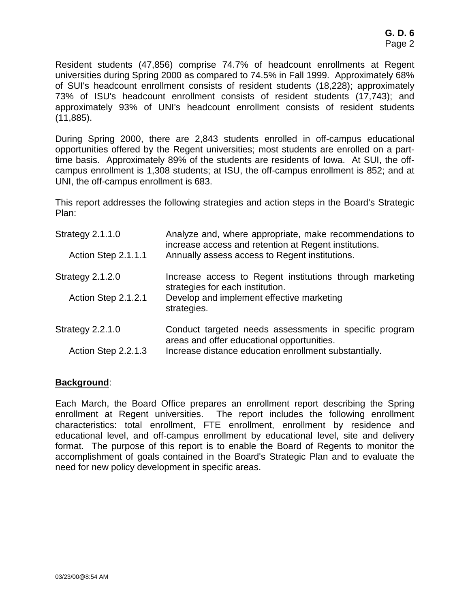Resident students (47,856) comprise 74.7% of headcount enrollments at Regent universities during Spring 2000 as compared to 74.5% in Fall 1999. Approximately 68% of SUI's headcount enrollment consists of resident students (18,228); approximately 73% of ISU's headcount enrollment consists of resident students (17,743); and approximately 93% of UNI's headcount enrollment consists of resident students (11,885).

During Spring 2000, there are 2,843 students enrolled in off-campus educational opportunities offered by the Regent universities; most students are enrolled on a parttime basis. Approximately 89% of the students are residents of Iowa. At SUI, the offcampus enrollment is 1,308 students; at ISU, the off-campus enrollment is 852; and at UNI, the off-campus enrollment is 683.

This report addresses the following strategies and action steps in the Board's Strategic Plan:

| <b>Strategy 2.1.1.0</b> | Analyze and, where appropriate, make recommendations to<br>increase access and retention at Regent institutions. |  |  |  |
|-------------------------|------------------------------------------------------------------------------------------------------------------|--|--|--|
| Action Step 2.1.1.1     | Annually assess access to Regent institutions.                                                                   |  |  |  |
| Strategy 2.1.2.0        | Increase access to Regent institutions through marketing<br>strategies for each institution.                     |  |  |  |
| Action Step 2.1.2.1     | Develop and implement effective marketing<br>strategies.                                                         |  |  |  |
| Strategy 2.2.1.0        | Conduct targeted needs assessments in specific program<br>areas and offer educational opportunities.             |  |  |  |
| Action Step 2.2.1.3     | Increase distance education enrollment substantially.                                                            |  |  |  |

## **Background**:

Each March, the Board Office prepares an enrollment report describing the Spring enrollment at Regent universities. The report includes the following enrollment characteristics: total enrollment, FTE enrollment, enrollment by residence and educational level, and off-campus enrollment by educational level, site and delivery format. The purpose of this report is to enable the Board of Regents to monitor the accomplishment of goals contained in the Board's Strategic Plan and to evaluate the need for new policy development in specific areas.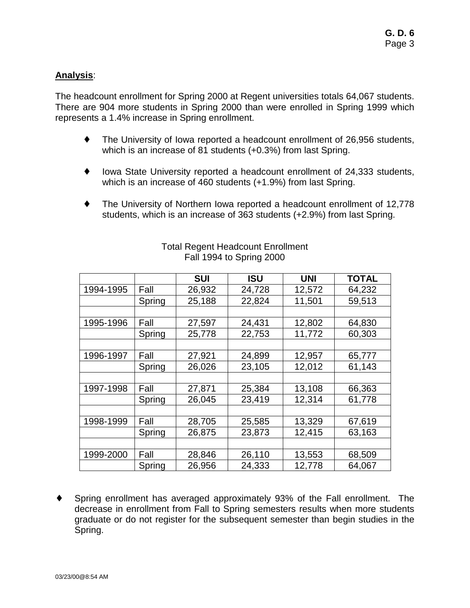# **Analysis**:

The headcount enrollment for Spring 2000 at Regent universities totals 64,067 students. There are 904 more students in Spring 2000 than were enrolled in Spring 1999 which represents a 1.4% increase in Spring enrollment.

- ♦ The University of Iowa reported a headcount enrollment of 26,956 students, which is an increase of 81 students (+0.3%) from last Spring.
- ♦ Iowa State University reported a headcount enrollment of 24,333 students, which is an increase of 460 students (+1.9%) from last Spring.
- ♦ The University of Northern Iowa reported a headcount enrollment of 12,778 students, which is an increase of 363 students (+2.9%) from last Spring.

|           |        | <b>SUI</b> | ISU    | <b>UNI</b> | <b>TOTAL</b> |
|-----------|--------|------------|--------|------------|--------------|
| 1994-1995 | Fall   | 26,932     | 24,728 | 12,572     | 64,232       |
|           | Spring | 25,188     | 22,824 | 11,501     | 59,513       |
|           |        |            |        |            |              |
| 1995-1996 | Fall   | 27,597     | 24,431 | 12,802     | 64,830       |
|           | Spring | 25,778     | 22,753 | 11,772     | 60,303       |
|           |        |            |        |            |              |
| 1996-1997 | Fall   | 27,921     | 24,899 | 12,957     | 65,777       |
|           | Spring | 26,026     | 23,105 | 12,012     | 61,143       |
|           |        |            |        |            |              |
| 1997-1998 | Fall   | 27,871     | 25,384 | 13,108     | 66,363       |
|           | Spring | 26,045     | 23,419 | 12,314     | 61,778       |
|           |        |            |        |            |              |
| 1998-1999 | Fall   | 28,705     | 25,585 | 13,329     | 67,619       |
|           | Spring | 26,875     | 23,873 | 12,415     | 63,163       |
|           |        |            |        |            |              |
| 1999-2000 | Fall   | 28,846     | 26,110 | 13,553     | 68,509       |
|           | Spring | 26,956     | 24,333 | 12,778     | 64,067       |

#### Total Regent Headcount Enrollment Fall 1994 to Spring 2000

♦ Spring enrollment has averaged approximately 93% of the Fall enrollment. The decrease in enrollment from Fall to Spring semesters results when more students graduate or do not register for the subsequent semester than begin studies in the Spring.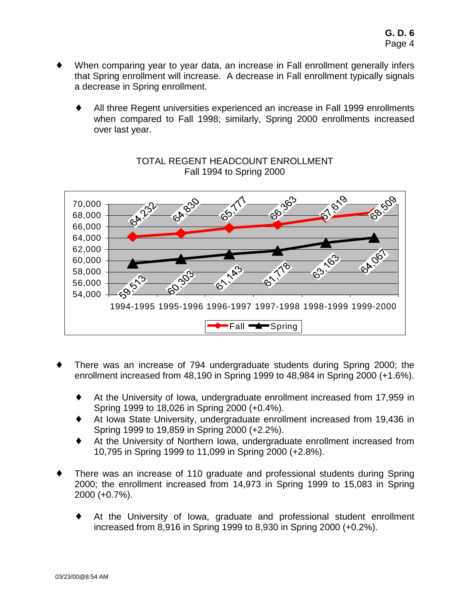- When comparing year to year data, an increase in Fall enrollment generally infers that Spring enrollment will increase. A decrease in Fall enrollment typically signals a decrease in Spring enrollment.
	- All three Regent universities experienced an increase in Fall 1999 enrollments when compared to Fall 1998; similarly, Spring 2000 enrollments increased over last year.



## TOTAL REGENT HEADCOUNT ENROLLMENT Fall 1994 to Spring 2000

- There was an increase of 794 undergraduate students during Spring 2000; the enrollment increased from 48,190 in Spring 1999 to 48,984 in Spring 2000 (+1.6%).
	- At the University of Iowa, undergraduate enrollment increased from 17,959 in Spring 1999 to 18,026 in Spring 2000 (+0.4%).
	- At Iowa State University, undergraduate enrollment increased from 19.436 in Spring 1999 to 19,859 in Spring 2000 (+2.2%).
	- At the University of Northern Iowa, undergraduate enrollment increased from 10,795 in Spring 1999 to 11,099 in Spring 2000 (+2.8%).
- There was an increase of 110 graduate and professional students during Spring 2000; the enrollment increased from 14,973 in Spring 1999 to 15,083 in Spring 2000 (+0.7%).
	- At the University of Iowa, graduate and professional student enrollment increased from 8,916 in Spring 1999 to 8,930 in Spring 2000 (+0.2%).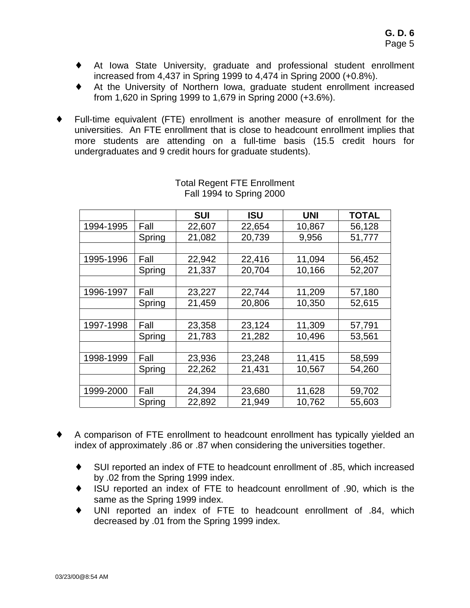- ♦ At Iowa State University, graduate and professional student enrollment increased from 4,437 in Spring 1999 to 4,474 in Spring 2000 (+0.8%).
- At the University of Northern Iowa, graduate student enrollment increased from 1,620 in Spring 1999 to 1,679 in Spring 2000 (+3.6%).
- Full-time equivalent (FTE) enrollment is another measure of enrollment for the universities. An FTE enrollment that is close to headcount enrollment implies that more students are attending on a full-time basis (15.5 credit hours for undergraduates and 9 credit hours for graduate students).

|           |        | <b>SUI</b> | ISU    | <b>UNI</b> | <b>TOTAL</b> |
|-----------|--------|------------|--------|------------|--------------|
| 1994-1995 | Fall   | 22,607     | 22,654 | 10,867     | 56,128       |
|           | Spring | 21,082     | 20,739 | 9,956      | 51,777       |
|           |        |            |        |            |              |
| 1995-1996 | Fall   | 22,942     | 22,416 | 11,094     | 56,452       |
|           | Spring | 21,337     | 20,704 | 10,166     | 52,207       |
|           |        |            |        |            |              |
| 1996-1997 | Fall   | 23,227     | 22,744 | 11,209     | 57,180       |
|           | Spring | 21,459     | 20,806 | 10,350     | 52,615       |
|           |        |            |        |            |              |
| 1997-1998 | Fall   | 23,358     | 23,124 | 11,309     | 57,791       |
|           | Spring | 21,783     | 21,282 | 10,496     | 53,561       |
|           |        |            |        |            |              |
| 1998-1999 | Fall   | 23,936     | 23,248 | 11,415     | 58,599       |
|           | Spring | 22,262     | 21,431 | 10,567     | 54,260       |
|           |        |            |        |            |              |
| 1999-2000 | Fall   | 24,394     | 23,680 | 11,628     | 59,702       |
|           | Spring | 22,892     | 21,949 | 10,762     | 55,603       |

#### Total Regent FTE Enrollment Fall 1994 to Spring 2000

- ♦ A comparison of FTE enrollment to headcount enrollment has typically yielded an index of approximately .86 or .87 when considering the universities together.
	- ♦ SUI reported an index of FTE to headcount enrollment of .85, which increased by .02 from the Spring 1999 index.
	- ISU reported an index of FTE to headcount enrollment of .90, which is the same as the Spring 1999 index.
	- UNI reported an index of FTE to headcount enrollment of .84, which decreased by .01 from the Spring 1999 index.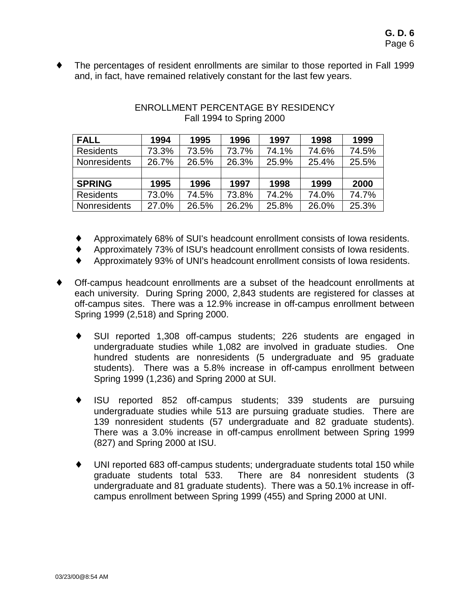The percentages of resident enrollments are similar to those reported in Fall 1999 and, in fact, have remained relatively constant for the last few years.

| <b>FALL</b>         | 1994  | 1995  | 1996  | 1997  | 1998  | 1999  |
|---------------------|-------|-------|-------|-------|-------|-------|
| <b>Residents</b>    | 73.3% | 73.5% | 73.7% | 74.1% | 74.6% | 74.5% |
| <b>Nonresidents</b> | 26.7% | 26.5% | 26.3% | 25.9% | 25.4% | 25.5% |
|                     |       |       |       |       |       |       |
| <b>SPRING</b>       | 1995  | 1996  | 1997  | 1998  | 1999  | 2000  |
| <b>Residents</b>    | 73.0% | 74.5% | 73.8% | 74.2% | 74.0% | 74.7% |
| <b>Nonresidents</b> | 27.0% | 26.5% | 26.2% | 25.8% | 26.0% | 25.3% |

## ENROLLMENT PERCENTAGE BY RESIDENCY Fall 1994 to Spring 2000

- ♦ Approximately 68% of SUI's headcount enrollment consists of Iowa residents.
- Approximately 73% of ISU's headcount enrollment consists of Iowa residents.
- ♦ Approximately 93% of UNI's headcount enrollment consists of Iowa residents.
- ♦ Off-campus headcount enrollments are a subset of the headcount enrollments at each university. During Spring 2000, 2,843 students are registered for classes at off-campus sites. There was a 12.9% increase in off-campus enrollment between Spring 1999 (2,518) and Spring 2000.
	- SUI reported 1,308 off-campus students; 226 students are engaged in undergraduate studies while 1,082 are involved in graduate studies. One hundred students are nonresidents (5 undergraduate and 95 graduate students). There was a 5.8% increase in off-campus enrollment between Spring 1999 (1,236) and Spring 2000 at SUI.
	- ♦ ISU reported 852 off-campus students; 339 students are pursuing undergraduate studies while 513 are pursuing graduate studies. There are 139 nonresident students (57 undergraduate and 82 graduate students). There was a 3.0% increase in off-campus enrollment between Spring 1999 (827) and Spring 2000 at ISU.
	- ♦ UNI reported 683 off-campus students; undergraduate students total 150 while graduate students total 533. There are 84 nonresident students (3 undergraduate and 81 graduate students). There was a 50.1% increase in offcampus enrollment between Spring 1999 (455) and Spring 2000 at UNI.